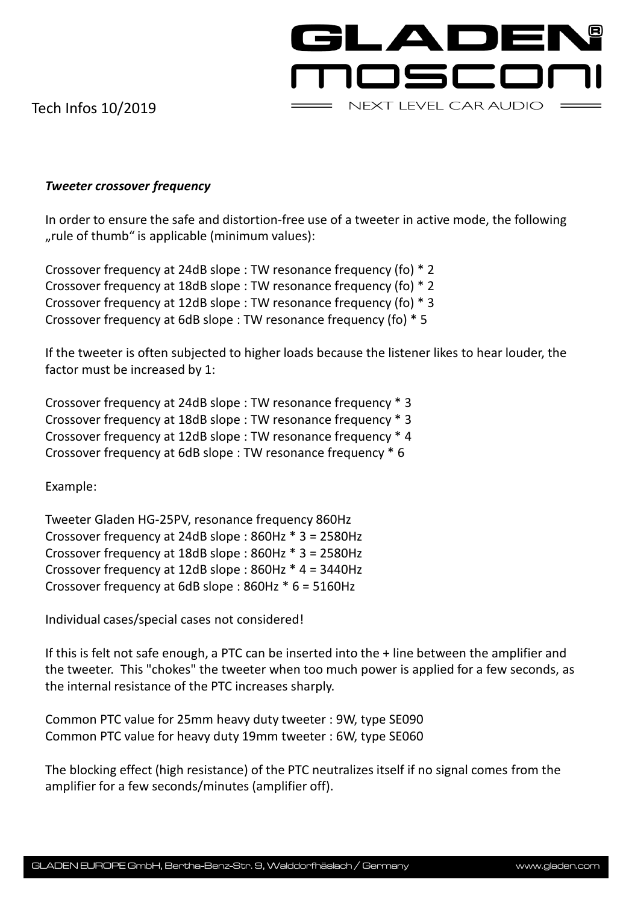GLADEN noscor NEXT LEVEL CAR AUDIO

Tech Infos 10/2019

## *Tweeter crossover frequency*

In order to ensure the safe and distortion-free use of a tweeter in active mode, the following ", rule of thumb" is applicable (minimum values).

Crossover frequency at 24dB slope : TW resonance frequency (fo) \* 2 Crossover frequency at 18dB slope : TW resonance frequency (fo) \* 2 Crossover frequency at 12dB slope : TW resonance frequency (fo) \* 3 Crossover frequency at 6dB slope : TW resonance frequency (fo) \* 5

If the tweeter is often subjected to higher loads because the listener likes to hear louder, the factor must be increased by 1:

Crossover frequency at 24dB slope : TW resonance frequency \* 3 Crossover frequency at 18dB slope : TW resonance frequency \* 3 Crossover frequency at 12dB slope : TW resonance frequency \* 4 Crossover frequency at 6dB slope : TW resonance frequency \* 6

Example:

Tweeter Gladen HG-25PV, resonance frequency 860Hz Crossover frequency at 24dB slope : 860Hz \* 3 = 2580Hz Crossover frequency at 18dB slope : 860Hz \* 3 = 2580Hz Crossover frequency at 12dB slope : 860Hz \* 4 = 3440Hz Crossover frequency at 6dB slope : 860Hz \* 6 = 5160Hz

Individual cases/special cases not considered!

If this is felt not safe enough, a PTC can be inserted into the + line between the amplifier and the tweeter. This "chokes" the tweeter when too much power is applied for a few seconds, as the internal resistance of the PTC increases sharply.

Common PTC value for 25mm heavy duty tweeter : 9W, type SE090 Common PTC value for heavy duty 19mm tweeter : 6W, type SE060

The blocking effect (high resistance) of the PTC neutralizes itself if no signal comes from the amplifier for a few seconds/minutes (amplifier off).